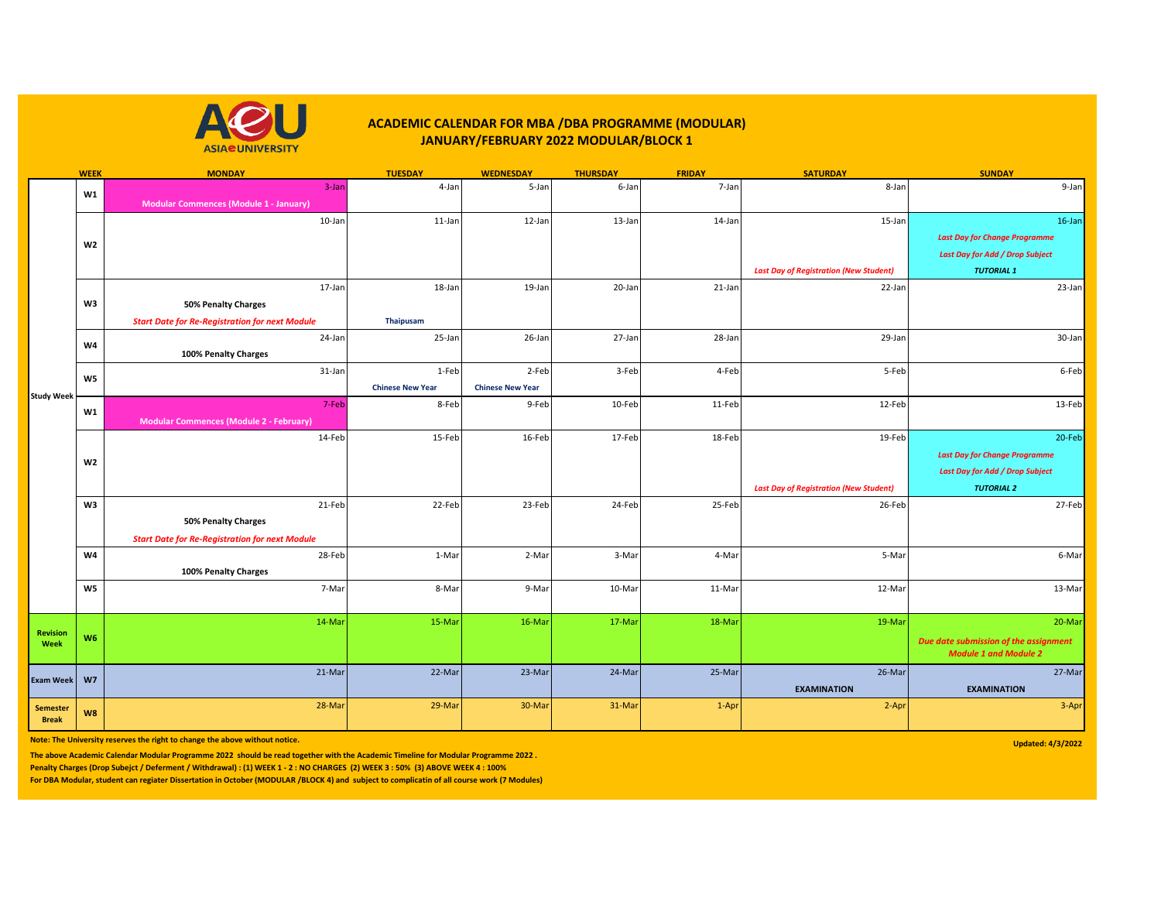

## **ACADEMIC CALENDAR FOR MBA /DBA PROGRAMME (MODULAR) JANUARY/FEBRUARY 2022 MODULAR/BLOCK 1**

|                                 | <b>WEEK</b>    | <b>MONDAY</b>                                         | <b>TUESDAY</b>          | <b>WEDNESDAY</b>        | <b>THURSDAY</b> | <b>FRIDAY</b> | <b>SATURDAY</b>                               | <b>SUNDAY</b>                          |
|---------------------------------|----------------|-------------------------------------------------------|-------------------------|-------------------------|-----------------|---------------|-----------------------------------------------|----------------------------------------|
|                                 | W1             | 3-Jan                                                 | 4-Jan                   | 5-Jan                   | 6-Jan           | 7-Jar         | 8-Jan                                         | 9-Jan                                  |
|                                 |                | <b>Modular Commences (Module 1 - January)</b>         |                         |                         |                 |               |                                               |                                        |
|                                 | W <sub>2</sub> | 10-Jan                                                | 11-Jan                  | 12-Jan                  | 13-Jan          | 14-Jan        | 15-Jan                                        | 16-Jan                                 |
|                                 |                |                                                       |                         |                         |                 |               |                                               | <b>Last Day for Change Programme</b>   |
|                                 |                |                                                       |                         |                         |                 |               |                                               | <b>Last Day for Add / Drop Subject</b> |
|                                 |                |                                                       |                         |                         |                 |               | <b>Last Day of Registration (New Student)</b> | <b>TUTORIAL 1</b>                      |
|                                 |                | 17-Jan                                                | 18-Jan                  | 19-Jan                  | 20-Jan          | 21-Jan        | 22-Jan                                        | 23-Jan                                 |
|                                 | W3             | 50% Penalty Charges                                   |                         |                         |                 |               |                                               |                                        |
|                                 |                | <b>Start Date for Re-Registration for next Module</b> | Thaipusam               |                         |                 |               |                                               |                                        |
|                                 |                | 24-Jan                                                | 25-Jan                  | 26-Jan                  | 27-Jan          | 28-Jar        | 29-Jan                                        | 30-Jan                                 |
|                                 | <b>W4</b>      | 100% Penalty Charges                                  |                         |                         |                 |               |                                               |                                        |
|                                 | W <sub>5</sub> | 31-Jan                                                | 1-Feb                   | 2-Feb                   | 3-Feb           | 4-Feb         | 5-Feb                                         | 6-Feb                                  |
|                                 |                |                                                       | <b>Chinese New Year</b> | <b>Chinese New Year</b> |                 |               |                                               |                                        |
| <b>Study Week</b>               |                | 7-Feb                                                 | 8-Feb                   | 9-Feb                   | 10-Feb          | 11-Feb        | 12-Feb                                        | 13-Feb                                 |
|                                 | W1             | <b>Modular Commences (Module 2 - February)</b>        |                         |                         |                 |               |                                               |                                        |
|                                 |                | 14-Feb                                                | 15-Feb                  | 16-Feb                  | 17-Feb          | 18-Feb        | 19-Feb                                        | 20-Feb                                 |
|                                 | W <sub>2</sub> |                                                       |                         |                         |                 |               |                                               | <b>Last Day for Change Programme</b>   |
|                                 |                |                                                       |                         |                         |                 |               |                                               | <b>Last Day for Add / Drop Subject</b> |
|                                 |                |                                                       |                         |                         |                 |               | <b>Last Day of Registration (New Student)</b> | <b>TUTORIAL 2</b>                      |
|                                 | W3             | 21-Feb                                                | 22-Feb                  | 23-Feb                  | 24-Feb          | 25-Feb        | 26-Feb                                        | 27-Feb                                 |
|                                 |                | 50% Penalty Charges                                   |                         |                         |                 |               |                                               |                                        |
|                                 |                | <b>Start Date for Re-Registration for next Module</b> |                         |                         |                 |               |                                               |                                        |
|                                 | W4             | 28-Feb                                                | 1-Mar                   | 2-Mar                   | 3-Mar           | 4-Mar         | 5-Mar                                         | 6-Mar                                  |
|                                 |                | 100% Penalty Charges                                  |                         |                         |                 |               |                                               |                                        |
|                                 | W <sub>5</sub> | 7-Mar                                                 | 8-Mar                   | 9-Mar                   | 10-Mar          | 11-Mar        | 12-Mar                                        | 13-Mar                                 |
|                                 |                |                                                       |                         |                         |                 |               |                                               |                                        |
| <b>Revision</b><br>Week         | W <sub>6</sub> | 14-Mar                                                | 15-Mar                  | 16-Mar                  | 17-Mar          | 18-Mar        | 19-Mar                                        | 20-Mar                                 |
|                                 |                |                                                       |                         |                         |                 |               |                                               | Due date submission of the assignment  |
|                                 |                |                                                       |                         |                         |                 |               |                                               | <b>Module 1 and Module 2</b>           |
| <b>Exam Week</b>                | W <sub>7</sub> | 21-Mar                                                | 22-Mar                  | 23-Mar                  | 24-Mar          | 25-Mar        | 26-Mar                                        | 27-Mar                                 |
|                                 |                |                                                       |                         |                         |                 |               | <b>EXAMINATION</b>                            | <b>EXAMINATION</b>                     |
| <b>Semester</b><br><b>Break</b> | W8             | 28-Mar                                                | 29-Mar                  | 30-Mar                  | 31-Mar          | 1-Apr         | 2-Apr                                         | 3-Apr                                  |
|                                 |                |                                                       |                         |                         |                 |               |                                               |                                        |

**Note: The University reserves the right to change the above without notice.** 

**The above Academic Calendar Modular Programme 2022 should be read together with the Academic Timeline for Modular Programme 2022 .** 

**Penalty Charges (Drop Subejct / Deferment / Withdrawal) : (1) WEEK 1 - 2 : NO CHARGES (2) WEEK 3 : 50% (3) ABOVE WEEK 4 : 100%** 

**For DBA Modular, student can regiater Dissertation in October (MODULAR /BLOCK 4) and subject to complicatin of all course work (7 Modules)**

**Updated: 4/3/2022**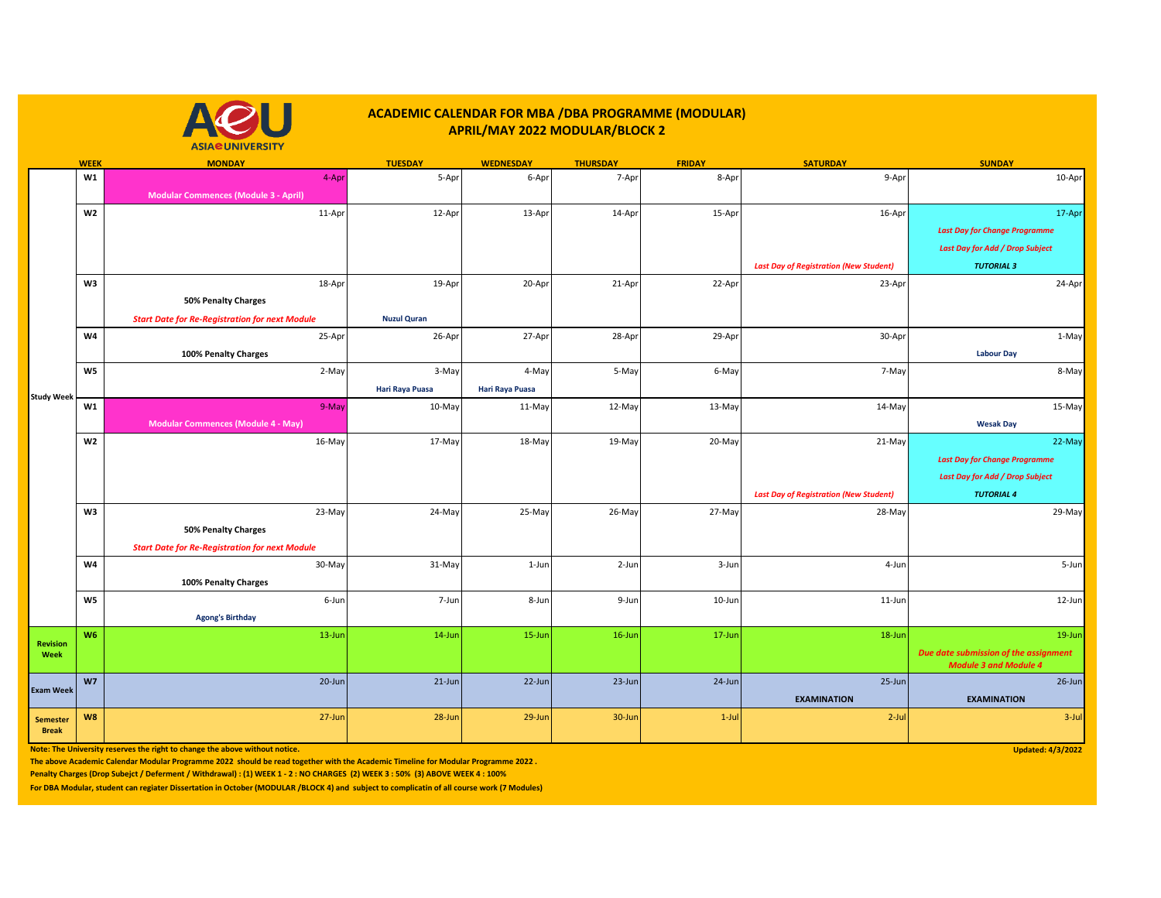## **ACADEMIC CALENDAR FOR MBA /DBA PROGRAMME (MODULAR) APRIL/MAY 2022 MODULAR/BLOCK 2**



|                         | <b>WEEK</b>    | <b>MONDAY</b>                                         | <b>TUESDAY</b>     | <b>WEDNESDAY</b> | <b>THURSDAY</b> | <b>FRIDAY</b> | <b>SATURDAY</b>                               | <b>SUNDAY</b>                          |
|-------------------------|----------------|-------------------------------------------------------|--------------------|------------------|-----------------|---------------|-----------------------------------------------|----------------------------------------|
|                         | W1             | 4-Apr                                                 | 5-Apr              | 6-Apr            | 7-Apr           | 8-Apr         | 9-Apr                                         | 10-Apr                                 |
|                         |                | <b>Modular Commences (Module 3 - April)</b>           |                    |                  |                 |               |                                               |                                        |
|                         | W2             | 11-Apr                                                | 12-Apr             | 13-Apr           | 14-Apr          | 15-Apr        | 16-Apr                                        | 17-Apr                                 |
|                         |                |                                                       |                    |                  |                 |               |                                               | <b>Last Day for Change Programme</b>   |
|                         |                |                                                       |                    |                  |                 |               |                                               | <b>Last Day for Add / Drop Subject</b> |
|                         |                |                                                       |                    |                  |                 |               | <b>Last Day of Registration (New Student)</b> | <b>TUTORIAL 3</b>                      |
|                         | W3             | 18-Apr                                                | 19-Apr             | 20-Apr           | 21-Apr          | 22-Apr        | 23-Apr                                        | 24-Apr                                 |
|                         |                |                                                       |                    |                  |                 |               |                                               |                                        |
|                         |                | <b>50% Penalty Charges</b>                            |                    |                  |                 |               |                                               |                                        |
|                         |                | <b>Start Date for Re-Registration for next Module</b> | <b>Nuzul Quran</b> |                  |                 |               |                                               |                                        |
|                         | W4             | 25-Apr                                                | 26-Apr             | 27-Apr           | 28-Apr          | 29-Apr        | 30-Apr                                        | 1-May                                  |
|                         |                | 100% Penalty Charges                                  |                    |                  |                 |               |                                               | <b>Labour Day</b>                      |
|                         | W <sub>5</sub> | 2-May                                                 | 3-May              | 4-May            | 5-May           | 6-May         | 7-May                                         | 8-May                                  |
|                         |                |                                                       | Hari Raya Puasa    | Hari Raya Puasa  |                 |               |                                               |                                        |
| <b>Study Week</b>       | W1             | 9-May                                                 | 10-May             | 11-May           | 12-May          | 13-May        | 14-May                                        | 15-May                                 |
|                         |                | <b>Modular Commences (Module 4 - May)</b>             |                    |                  |                 |               |                                               | <b>Wesak Day</b>                       |
|                         | W <sub>2</sub> | 16-May                                                | 17-May             | 18-May           | 19-May          | 20-May        | 21-May                                        | 22-May                                 |
|                         |                |                                                       |                    |                  |                 |               |                                               | <b>Last Day for Change Programme</b>   |
|                         |                |                                                       |                    |                  |                 |               |                                               | <b>Last Day for Add / Drop Subject</b> |
|                         |                |                                                       |                    |                  |                 |               |                                               |                                        |
|                         |                |                                                       |                    |                  |                 |               | <b>Last Day of Registration (New Student)</b> | <b>TUTORIAL 4</b>                      |
|                         | W3             | 23-May                                                | 24-May             | 25-May           | 26-May          | 27-May        | 28-May                                        | 29-May                                 |
|                         |                | <b>50% Penalty Charges</b>                            |                    |                  |                 |               |                                               |                                        |
|                         |                | <b>Start Date for Re-Registration for next Module</b> |                    |                  |                 |               |                                               |                                        |
|                         | W4             | 30-May                                                | 31-May             | 1-Jun            | 2-Jun           | 3-Jun         | 4-Jun                                         | 5-Jun                                  |
|                         |                | 100% Penalty Charges                                  |                    |                  |                 |               |                                               |                                        |
|                         | W5             | 6-Jun                                                 | 7-Jun              | 8-Jun            | 9-Jun           | 10-Jun        | $11$ -Jun                                     | 12-Jun                                 |
|                         |                | <b>Agong's Birthday</b>                               |                    |                  |                 |               |                                               |                                        |
|                         | W <sub>6</sub> | 13-Jun                                                | $14$ -Jun          | 15-Jun           | 16-Jun          | 17-Jun        | 18-Jun                                        | 19-Jun                                 |
| <b>Revision</b><br>Week |                |                                                       |                    |                  |                 |               |                                               | Due date submission of the assignment  |
|                         |                |                                                       |                    |                  |                 |               |                                               | <b>Module 3 and Module 4</b>           |
| <b>Exam Week</b>        | W <sub>7</sub> | 20-Jun                                                | $21$ -Jun          | 22-Jun           | 23-Jun          | $24$ -Jun     | 25-Jun                                        | $26$ -Jun                              |
|                         |                |                                                       |                    |                  |                 |               | <b>EXAMINATION</b>                            | <b>EXAMINATION</b>                     |
| <b>Semester</b>         | W8             | 27-Jun                                                | 28-Jun             | 29-Jun           | 30-Jun          | $1$ -Jul      | $2$ -Jul                                      | $3$ -Jul                               |
| <b>Break</b>            |                |                                                       |                    |                  |                 |               |                                               |                                        |

**Note: The University reserves the right to change the above without notice.** Updated: 4/3/2022

**The above Academic Calendar Modular Programme 2022 should be read together with the Academic Timeline for Modular Programme 2022 .** 

**Penalty Charges (Drop Subejct / Deferment / Withdrawal) : (1) WEEK 1 - 2 : NO CHARGES (2) WEEK 3 : 50% (3) ABOVE WEEK 4 : 100%** 

**For DBA Modular, student can regiater Dissertation in October (MODULAR /BLOCK 4) and subject to complicatin of all course work (7 Modules)**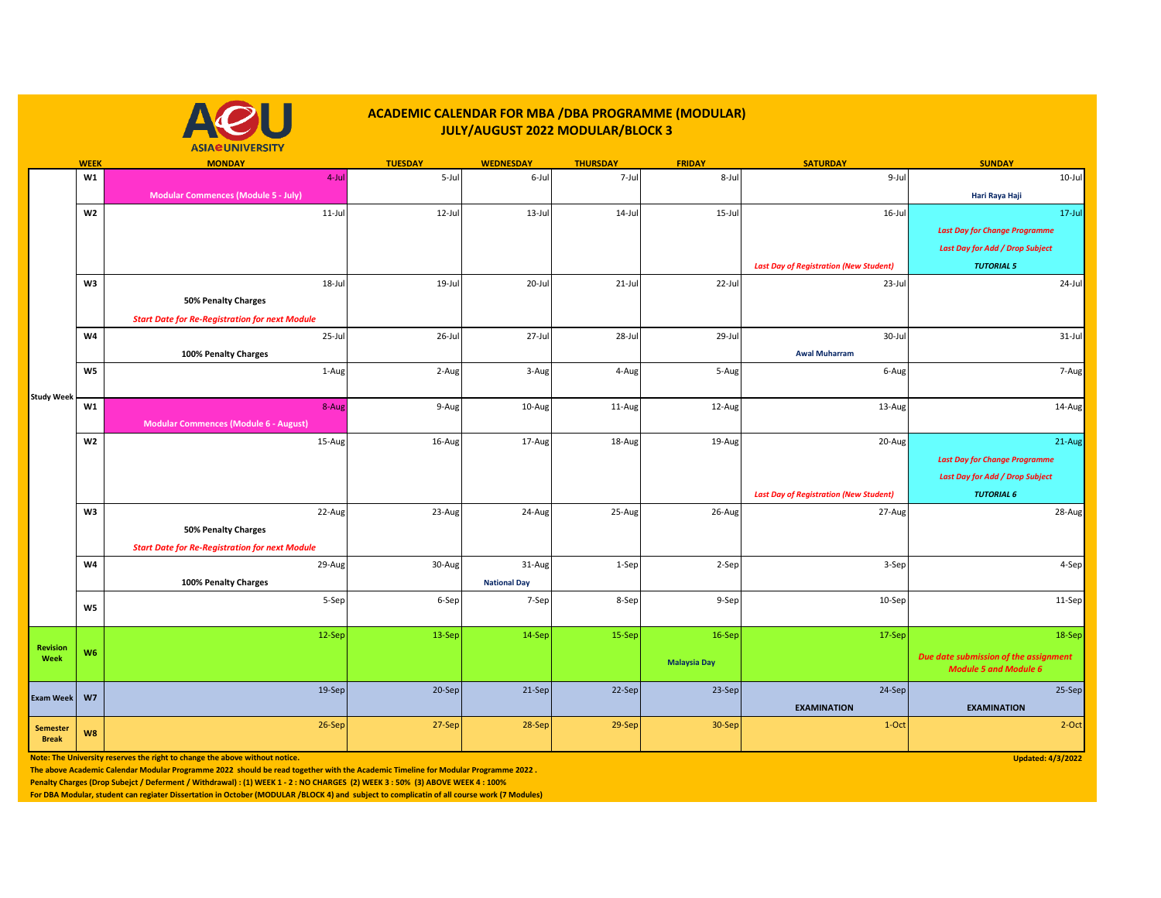## **ACADEMIC CALENDAR FOR MBA /DBA PROGRAMME (MODULAR) JULY/AUGUST 2022 MODULAR/BLOCK 3**



**WEEK MONDAY TUESDAY WEDNESDAY THURSDAY FRIDAY SATURDAY SUNDAY W1** 4-Jul 5-Jul 6-Jul 7-Jul 8-Jul 9-Jul 10-Jul **Modular Commences (Module 5 - July) Hari Raya Haji W2** 11-Jul 12-Jul 13-Jul 14-Jul 15-Jul 16-Jul 17-Jul *Last Day for Change Programme Last Day for Add / Drop Subject Last Day of Registration (New Student) TUTORIAL 5* **W3** 18-Jul 19-Jul 20-Jul 21-Jul 22-Jul 23-Jul 24-Jul **50% Penalty Charges**  *Start Date for Re-Registration for next Module* **W4 |** 25-Jul 26-Jul 27-Jul 28-Jul 28-Jul 28-Jul 29-Jul 30-Jul 30-Jul 30-Jul 31-Jul **100% Penalty Charges Awal Muharram W5 |** 1-Aug| 2-Aug| 3-Aug| 5-Aug| 7-Aug **W1** 8-Aug 9-Aug 10-Aug 11-Aug 12-Aug 13-Aug 14-Aug **Modular Commences (Module 6 - August) W2 |** 15-Aug | 16-Aug | 17-Aug | 19-Aug | 20-Aug | 21-Aug *Last Day for Change Programme Last Day for Add / Drop Subject Last Day of Registration (New Student) TUTORIAL 6* **W3 |** 22-Aug| 23-Aug| 25-Aug| 25-Aug| 27-Aug| 28-Aug **50% Penalty Charges**  *Start Date for Re-Registration for next Module* **W4 | 29-Aug | 30-Aug | 31-Aug | 1-Sep | 3-Sep | 4-Sep 100% Penalty Charges 100% Penalty Charges 100% Penalty Charges 100% Penalty Charges** 5-Sep 6-Sep 7-Sep 8-Sep 9-Sep 10-Sep 11-Sep 12-Sep 13-Sep 13-Sep 14-Sep 14-Sep 15-Sep 16-Sep 16-Sep 16-Sep 17-Sep 17-Sep 17-Sep 18-Sep **Malaysia Day** *Due date submission of the assignment Module 5 and Module 6*  19-Sep 20-Sep 20-Sep 20-Sep 21-Sep 22-Sep 23-Sep 23-Sep 23-Sep 25-Sep 25-Sep 25-Sep **EXAMINATION EXAMINATION** 26-Sep 26-Sep 27-Sep 27-Sep 28-Sep 28-Sep 30-Sep 30-Sep 20-Sep 2-Oct 2-Oct 2-Oct 2-Oct 2-Oct 2-Oct 2-Oct 2-Oct **W5 W6 W7 W8 Study Week Revision Week Exam Week Semester Break**

**Note: The University reserves the right to change the above without notice.** Updated: 4/3/2022

**The above Academic Calendar Modular Programme 2022 should be read together with the Academic Timeline for Modular Programme 2022 .** 

**Penalty Charges (Drop Subejct / Deferment / Withdrawal) : (1) WEEK 1 - 2 : NO CHARGES (2) WEEK 3 : 50% (3) ABOVE WEEK 4 : 100%** 

**For DBA Modular, student can regiater Dissertation in October (MODULAR /BLOCK 4) and subject to complicatin of all course work (7 Modules)**